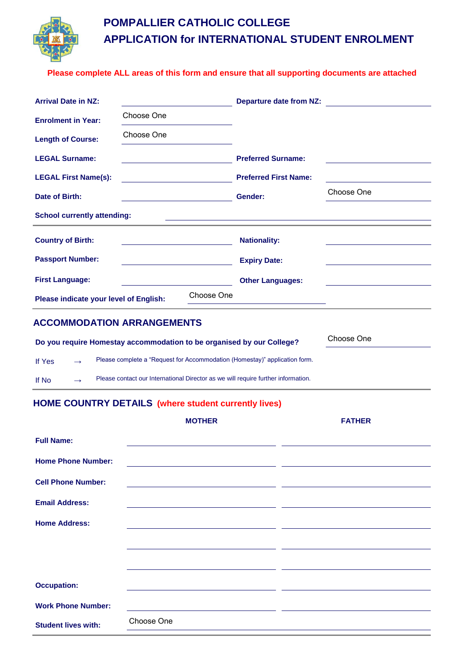

# **POMPALLIER CATHOLIC COLLEGE APPLICATION for INTERNATIONAL STUDENT ENROLMENT**

#### **Please complete ALL areas of this form and ensure that all supporting documents are attached**

| <b>Arrival Date in NZ:</b>             |                                                 |            | Departure date from NZ:                                                                                              |            |  |
|----------------------------------------|-------------------------------------------------|------------|----------------------------------------------------------------------------------------------------------------------|------------|--|
| <b>Enrolment in Year:</b>              | Choose One                                      |            |                                                                                                                      |            |  |
| <b>Length of Course:</b>               | Choose One                                      |            |                                                                                                                      |            |  |
| <b>LEGAL Surname:</b>                  |                                                 |            | <b>Preferred Surname:</b>                                                                                            |            |  |
| <b>LEGAL First Name(s):</b>            |                                                 |            | <b>Preferred First Name:</b>                                                                                         |            |  |
| Date of Birth:                         | <u> 1989 - Johann Barn, amerikan persoan ba</u> |            | Gender:                                                                                                              | Choose One |  |
| <b>School currently attending:</b>     |                                                 |            | <u> 1989 - Jan Samuel Barbara, margaret e populari e populari e populari e populari e populari e populari e popu</u> |            |  |
| <b>Country of Birth:</b>               |                                                 |            | <b>Nationality:</b>                                                                                                  |            |  |
| <b>Passport Number:</b>                |                                                 |            | <b>Expiry Date:</b>                                                                                                  |            |  |
| <b>First Language:</b>                 |                                                 |            | <b>Other Languages:</b>                                                                                              |            |  |
| Please indicate your level of English: |                                                 | Choose One | <u> 1989 - Johann Barn, mars et al. (b. 1989)</u>                                                                    |            |  |
| <b>ACCOMMODATION ARRANGEMENTS</b>      |                                                 |            |                                                                                                                      |            |  |

| Do you require Homestay accommodation to be organised by our College? |               |                                                                                   | Choose One |
|-----------------------------------------------------------------------|---------------|-----------------------------------------------------------------------------------|------------|
| If Yes                                                                | $\rightarrow$ | Please complete a "Request for Accommodation (Homestay)" application form.        |            |
| If No                                                                 | $\rightarrow$ | Please contact our International Director as we will require further information. |            |

### **HOME COUNTRY DETAILS (where student currently lives)**

|                            | <b>MOTHER</b>                                | <b>FATHER</b> |
|----------------------------|----------------------------------------------|---------------|
| <b>Full Name:</b>          |                                              |               |
| <b>Home Phone Number:</b>  | <u> 1990 - Jan Salaman Salaman (j. 1980)</u> |               |
| <b>Cell Phone Number:</b>  |                                              |               |
| <b>Email Address:</b>      |                                              |               |
| <b>Home Address:</b>       |                                              |               |
|                            |                                              |               |
|                            |                                              |               |
| <b>Occupation:</b>         |                                              |               |
| <b>Work Phone Number:</b>  |                                              |               |
| <b>Student lives with:</b> | Choose One                                   |               |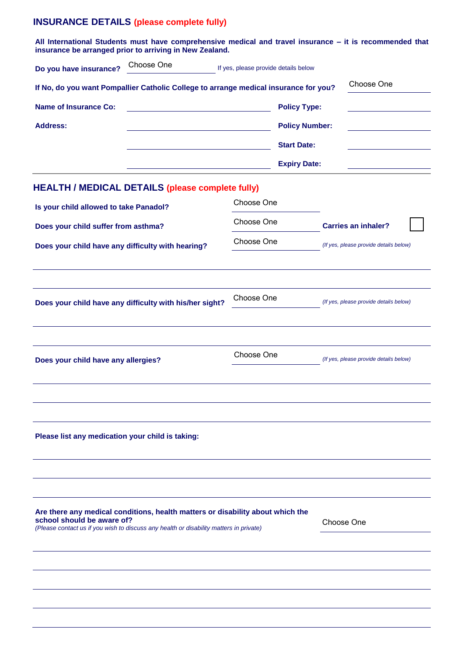### **INSURANCE DETAILS (please complete fully)**

|                                                                                                                                                                                                        | All International Students must have comprehensive medical and travel insurance - it is recommended that<br>insurance be arranged prior to arriving in New Zealand. |                                      |                       |                                        |                                        |  |  |
|--------------------------------------------------------------------------------------------------------------------------------------------------------------------------------------------------------|---------------------------------------------------------------------------------------------------------------------------------------------------------------------|--------------------------------------|-----------------------|----------------------------------------|----------------------------------------|--|--|
| Do you have insurance?                                                                                                                                                                                 | Choose One                                                                                                                                                          | If yes, please provide details below |                       |                                        |                                        |  |  |
|                                                                                                                                                                                                        | If No, do you want Pompallier Catholic College to arrange medical insurance for you?                                                                                |                                      |                       |                                        | Choose One                             |  |  |
| <b>Name of Insurance Co:</b>                                                                                                                                                                           |                                                                                                                                                                     |                                      | <b>Policy Type:</b>   |                                        |                                        |  |  |
| <b>Address:</b>                                                                                                                                                                                        |                                                                                                                                                                     |                                      | <b>Policy Number:</b> |                                        |                                        |  |  |
|                                                                                                                                                                                                        |                                                                                                                                                                     |                                      | <b>Start Date:</b>    |                                        |                                        |  |  |
|                                                                                                                                                                                                        |                                                                                                                                                                     |                                      | <b>Expiry Date:</b>   |                                        |                                        |  |  |
|                                                                                                                                                                                                        | <b>HEALTH / MEDICAL DETAILS (please complete fully)</b>                                                                                                             |                                      |                       |                                        |                                        |  |  |
| Is your child allowed to take Panadol?                                                                                                                                                                 |                                                                                                                                                                     | Choose One                           |                       |                                        |                                        |  |  |
|                                                                                                                                                                                                        | Does your child suffer from asthma?                                                                                                                                 |                                      | Choose One            |                                        | <b>Carries an inhaler?</b>             |  |  |
| Does your child have any difficulty with hearing?                                                                                                                                                      |                                                                                                                                                                     | Choose One                           |                       | (If yes, please provide details below) |                                        |  |  |
|                                                                                                                                                                                                        |                                                                                                                                                                     |                                      |                       |                                        |                                        |  |  |
|                                                                                                                                                                                                        |                                                                                                                                                                     |                                      |                       |                                        |                                        |  |  |
|                                                                                                                                                                                                        | Does your child have any difficulty with his/her sight?                                                                                                             | Choose One                           |                       | (If yes, please provide details below) |                                        |  |  |
|                                                                                                                                                                                                        |                                                                                                                                                                     |                                      |                       |                                        |                                        |  |  |
|                                                                                                                                                                                                        |                                                                                                                                                                     | Choose One                           |                       |                                        | (If yes, please provide details below) |  |  |
| Does your child have any allergies?                                                                                                                                                                    |                                                                                                                                                                     |                                      |                       |                                        |                                        |  |  |
|                                                                                                                                                                                                        |                                                                                                                                                                     |                                      |                       |                                        |                                        |  |  |
|                                                                                                                                                                                                        |                                                                                                                                                                     |                                      |                       |                                        |                                        |  |  |
| Please list any medication your child is taking:                                                                                                                                                       |                                                                                                                                                                     |                                      |                       |                                        |                                        |  |  |
|                                                                                                                                                                                                        |                                                                                                                                                                     |                                      |                       |                                        |                                        |  |  |
|                                                                                                                                                                                                        |                                                                                                                                                                     |                                      |                       |                                        |                                        |  |  |
|                                                                                                                                                                                                        |                                                                                                                                                                     |                                      |                       |                                        |                                        |  |  |
| Are there any medical conditions, health matters or disability about which the<br>school should be aware of?<br>(Please contact us if you wish to discuss any health or disability matters in private) |                                                                                                                                                                     |                                      |                       | Choose One                             |                                        |  |  |
|                                                                                                                                                                                                        |                                                                                                                                                                     |                                      |                       |                                        |                                        |  |  |
|                                                                                                                                                                                                        |                                                                                                                                                                     |                                      |                       |                                        |                                        |  |  |
|                                                                                                                                                                                                        |                                                                                                                                                                     |                                      |                       |                                        |                                        |  |  |
|                                                                                                                                                                                                        |                                                                                                                                                                     |                                      |                       |                                        |                                        |  |  |
|                                                                                                                                                                                                        |                                                                                                                                                                     |                                      |                       |                                        |                                        |  |  |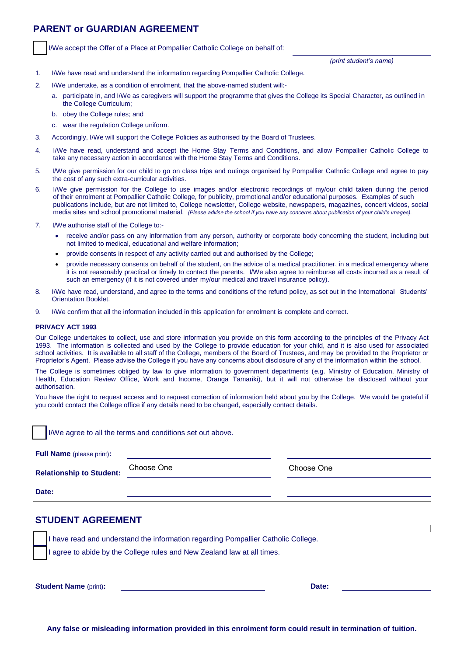#### **PARENT or GUARDIAN AGREEMENT**

I/We accept the Offer of a Place at Pompallier Catholic College on behalf of:

*(print student's name)*

- 1. I/We have read and understand the information regarding Pompallier Catholic College.
- 2. I/We undertake, as a condition of enrolment, that the above-named student will:
	- a. participate in, and I/We as caregivers will support the programme that gives the College its Special Character, as outlined in the College Curriculum;
	- b. b. obey the College rules; and
	- c. wear the regulation College uniform.
- 3. Accordingly, I/We will support the College Policies as authorised by the Board of Trustees.
- 4. I/We have read, understand and accept the Home Stay Terms and Conditions, and allow Pompallier Catholic College to take any necessary action in accordance with the Home Stay Terms and Conditions.
- 5. I/We give permission for our child to go on class trips and outings organised by Pompallier Catholic College and agree to pay the cost of any such extra-curricular activities.
- 6. I/We give permission for the College to use images and/or electronic recordings of my/our child taken during the period of their enrolment at Pompallier Catholic College, for publicity, promotional and/or educational purposes. Examples of such publications include, but are not limited to, College newsletter, College website, newspapers, magazines, concert videos, social media sites and school promotional material. *(Please advise the school if you have any concerns about publication of your child's images).*
- 7. I/We authorise staff of the College to:
	- receive and/or pass on any information from any person, authority or corporate body concerning the student, including but not limited to medical, educational and welfare information;
	- provide consents in respect of any activity carried out and authorised by the College;
	- provide necessary consents on behalf of the student, on the advice of a medical practitioner, in a medical emergency where it is not reasonably practical or timely to contact the parents. I/We also agree to reimburse all costs incurred as a result of such an emergency (if it is not covered under my/our medical and travel insurance policy).
- 8. I/We have read, understand, and agree to the terms and conditions of the refund policy, as set out in the International Students' Orientation Booklet.
- 9. I/We confirm that all the information included in this application for enrolment is complete and correct.

#### **PRIVACY ACT 1993**

Our College undertakes to collect, use and store information you provide on this form according to the principles of the Privacy Act 1993. The information is collected and used by the College to provide education for your child, and it is also used for associated school activities. It is available to all staff of the College, members of the Board of Trustees, and may be provided to the Proprietor or Proprietor's Agent. Please advise the College if you have any concerns about disclosure of any of the information within the school.

The College is sometimes obliged by law to give information to government departments (e.g. Ministry of Education, Ministry of Health, Education Review Office, Work and Income, Oranga Tamariki), but it will not otherwise be disclosed without your authorisation.

You have the right to request access and to request correction of information held about you by the College. We would be grateful if you could contact the College office if any details need to be changed, especially contact details.

I/We agree to all the terms and conditions set out above.

**Full Name** (please print)**:**

**Relationship to Student:**

Choose One Choose One

**Date:**

#### **STUDENT AGREEMENT**

I have read and understand the information regarding Pompallier Catholic College.

I agree to abide by the College rules and New Zealand law at all times.

**Student Name** (print)**: Date:**

I